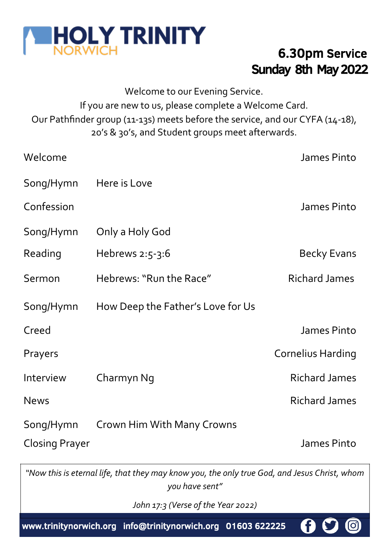

## Sunday 8th May 2022 6.30pm Service

Welcome to our Evening Service. If you are new to us, please complete a Welcome Card. Our Pathfinder group (11-13s) meets before the service, and our CYFA (14-18), 20's & 30's, and Student groups meet afterwards.

| Welcome               |                                   | James Pinto          |
|-----------------------|-----------------------------------|----------------------|
| Song/Hymn             | Here is Love                      |                      |
| Confession            |                                   | James Pinto          |
| Song/Hymn             | Only a Holy God                   |                      |
| Reading               | Hebrews $2:5-3:6$                 | Becky Evans          |
| Sermon                | Hebrews: "Run the Race"           | Richard James        |
| Song/Hymn             | How Deep the Father's Love for Us |                      |
| Creed                 |                                   | James Pinto          |
| Prayers               |                                   | Cornelius Harding    |
| Interview             | Charmyn Ng                        | <b>Richard James</b> |
| <b>News</b>           |                                   | <b>Richard James</b> |
| Song/Hymn             | Crown Him With Many Crowns        |                      |
| <b>Closing Prayer</b> |                                   | James Pinto          |

*"Now this is eternal life, that they may know you, the only true God, and Jesus Christ, whom you have sent"*

*John 17:3 (Verse of the Year 2022)* 

www.trinitynorwich.org info@trinitynorwich.org 01603 622225